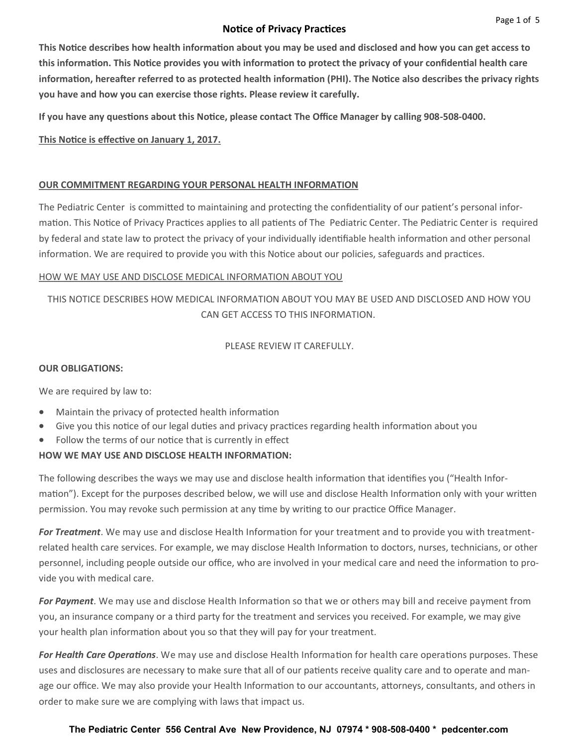## **Notice of Privacy Practices**

**This Notice describes how health information about you may be used and disclosed and how you can get access to this information. This Notice provides you with information to protect the privacy of your confidential health care information, hereafter referred to as protected health information (PHI). The Notice also describes the privacy rights you have and how you can exercise those rights. Please review it carefully.**

**If you have any questions about this Notice, please contact The Office Manager by calling 908-508-0400.**

# **This Notice is effective on January 1, 2017.**

## **OUR COMMITMENT REGARDING YOUR PERSONAL HEALTH INFORMATION**

The Pediatric Center is committed to maintaining and protecting the confidentiality of our patient's personal information. This Notice of Privacy Practices applies to all patients of The Pediatric Center. The Pediatric Center is required by federal and state law to protect the privacy of your individually identifiable health information and other personal information. We are required to provide you with this Notice about our policies, safeguards and practices.

## HOW WE MAY USE AND DISCLOSE MEDICAL INFORMATION ABOUT YOU

# THIS NOTICE DESCRIBES HOW MEDICAL INFORMATION ABOUT YOU MAY BE USED AND DISCLOSED AND HOW YOU CAN GET ACCESS TO THIS INFORMATION.

PLEASE REVIEW IT CAREFULLY.

### **OUR OBLIGATIONS:**

We are required by law to:

- Maintain the privacy of protected health information
- Give you this notice of our legal duties and privacy practices regarding health information about you
- Follow the terms of our notice that is currently in effect

## **HOW WE MAY USE AND DISCLOSE HEALTH INFORMATION:**

The following describes the ways we may use and disclose health information that identifies you ("Health Information"). Except for the purposes described below, we will use and disclose Health Information only with your written permission. You may revoke such permission at any time by writing to our practice Office Manager.

*For Treatment*. We may use and disclose Health Information for your treatment and to provide you with treatmentrelated health care services. For example, we may disclose Health Information to doctors, nurses, technicians, or other personnel, including people outside our office, who are involved in your medical care and need the information to provide you with medical care.

*For Payment*. We may use and disclose Health Information so that we or others may bill and receive payment from you, an insurance company or a third party for the treatment and services you received. For example, we may give your health plan information about you so that they will pay for your treatment.

*For Health Care Operations*. We may use and disclose Health Information for health care operations purposes. These uses and disclosures are necessary to make sure that all of our patients receive quality care and to operate and manage our office. We may also provide your Health Information to our accountants, attorneys, consultants, and others in order to make sure we are complying with laws that impact us.

### **The Pediatric Center 556 Central Ave New Providence, NJ 07974 \* 908-508-0400 \* pedcenter.com**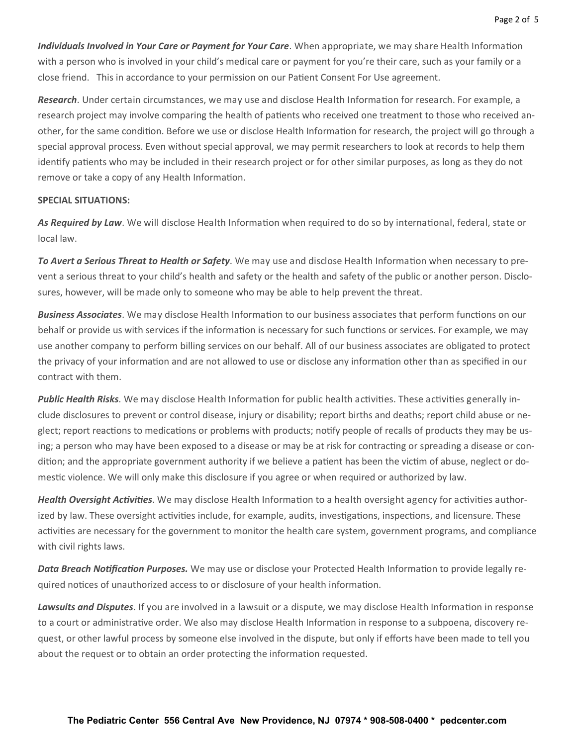*Individuals Involved in Your Care or Payment for Your Care*. When appropriate, we may share Health Information with a person who is involved in your child's medical care or payment for you're their care, such as your family or a close friend. This in accordance to your permission on our Patient Consent For Use agreement.

*Research*. Under certain circumstances, we may use and disclose Health Information for research. For example, a research project may involve comparing the health of patients who received one treatment to those who received another, for the same condition. Before we use or disclose Health Information for research, the project will go through a special approval process. Even without special approval, we may permit researchers to look at records to help them identify patients who may be included in their research project or for other similar purposes, as long as they do not remove or take a copy of any Health Information.

#### **SPECIAL SITUATIONS:**

*As Required by Law*. We will disclose Health Information when required to do so by international, federal, state or local law.

*To Avert a Serious Threat to Health or Safety*. We may use and disclose Health Information when necessary to prevent a serious threat to your child's health and safety or the health and safety of the public or another person. Disclosures, however, will be made only to someone who may be able to help prevent the threat.

*Business Associates*. We may disclose Health Information to our business associates that perform functions on our behalf or provide us with services if the information is necessary for such functions or services. For example, we may use another company to perform billing services on our behalf. All of our business associates are obligated to protect the privacy of your information and are not allowed to use or disclose any information other than as specified in our contract with them.

*Public Health Risks*. We may disclose Health Information for public health activities. These activities generally include disclosures to prevent or control disease, injury or disability; report births and deaths; report child abuse or neglect; report reactions to medications or problems with products; notify people of recalls of products they may be using; a person who may have been exposed to a disease or may be at risk for contracting or spreading a disease or condition; and the appropriate government authority if we believe a patient has been the victim of abuse, neglect or domestic violence. We will only make this disclosure if you agree or when required or authorized by law.

*Health Oversight Activities*. We may disclose Health Information to a health oversight agency for activities authorized by law. These oversight activities include, for example, audits, investigations, inspections, and licensure. These activities are necessary for the government to monitor the health care system, government programs, and compliance with civil rights laws.

*Data Breach Notification Purposes.* We may use or disclose your Protected Health Information to provide legally required notices of unauthorized access to or disclosure of your health information.

*Lawsuits and Disputes*. If you are involved in a lawsuit or a dispute, we may disclose Health Information in response to a court or administrative order. We also may disclose Health Information in response to a subpoena, discovery request, or other lawful process by someone else involved in the dispute, but only if efforts have been made to tell you about the request or to obtain an order protecting the information requested.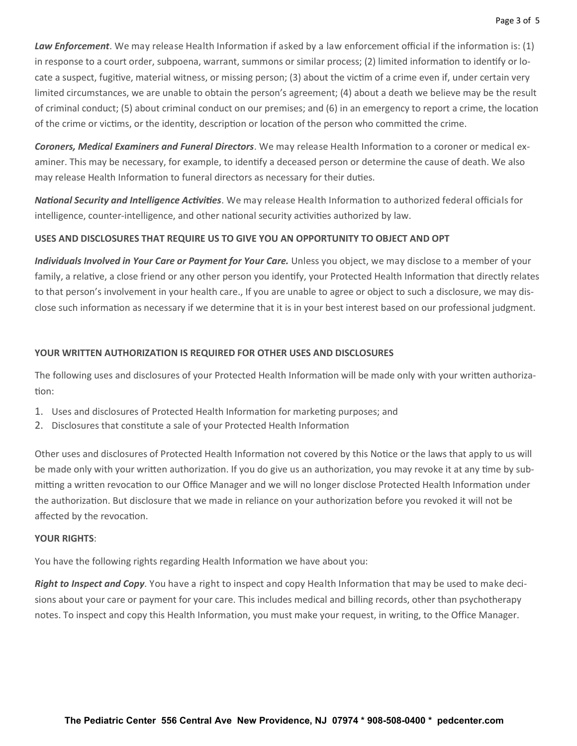*Law Enforcement*. We may release Health Information if asked by a law enforcement official if the information is: (1) in response to a court order, subpoena, warrant, summons or similar process; (2) limited information to identify or locate a suspect, fugitive, material witness, or missing person; (3) about the victim of a crime even if, under certain very limited circumstances, we are unable to obtain the person's agreement; (4) about a death we believe may be the result of criminal conduct; (5) about criminal conduct on our premises; and (6) in an emergency to report a crime, the location of the crime or victims, or the identity, description or location of the person who committed the crime.

*Coroners, Medical Examiners and Funeral Directors*. We may release Health Information to a coroner or medical examiner. This may be necessary, for example, to identify a deceased person or determine the cause of death. We also may release Health Information to funeral directors as necessary for their duties.

*National Security and Intelligence Activities*. We may release Health Information to authorized federal officials for intelligence, counter-intelligence, and other national security activities authorized by law.

### **USES AND DISCLOSURES THAT REQUIRE US TO GIVE YOU AN OPPORTUNITY TO OBJECT AND OPT**

*Individuals Involved in Your Care or Payment for Your Care.* Unless you object, we may disclose to a member of your family, a relative, a close friend or any other person you identify, your Protected Health Information that directly relates to that person's involvement in your health care., If you are unable to agree or object to such a disclosure, we may disclose such information as necessary if we determine that it is in your best interest based on our professional judgment.

### **YOUR WRITTEN AUTHORIZATION IS REQUIRED FOR OTHER USES AND DISCLOSURES**

The following uses and disclosures of your Protected Health Information will be made only with your written authorization:

- 1. Uses and disclosures of Protected Health Information for marketing purposes; and
- 2. Disclosures that constitute a sale of your Protected Health Information

Other uses and disclosures of Protected Health Information not covered by this Notice or the laws that apply to us will be made only with your written authorization. If you do give us an authorization, you may revoke it at any time by submitting a written revocation to our Office Manager and we will no longer disclose Protected Health Information under the authorization. But disclosure that we made in reliance on your authorization before you revoked it will not be affected by the revocation.

#### **YOUR RIGHTS**:

You have the following rights regarding Health Information we have about you:

*Right to Inspect and Copy*. You have a right to inspect and copy Health Information that may be used to make decisions about your care or payment for your care. This includes medical and billing records, other than psychotherapy notes. To inspect and copy this Health Information, you must make your request, in writing, to the Office Manager.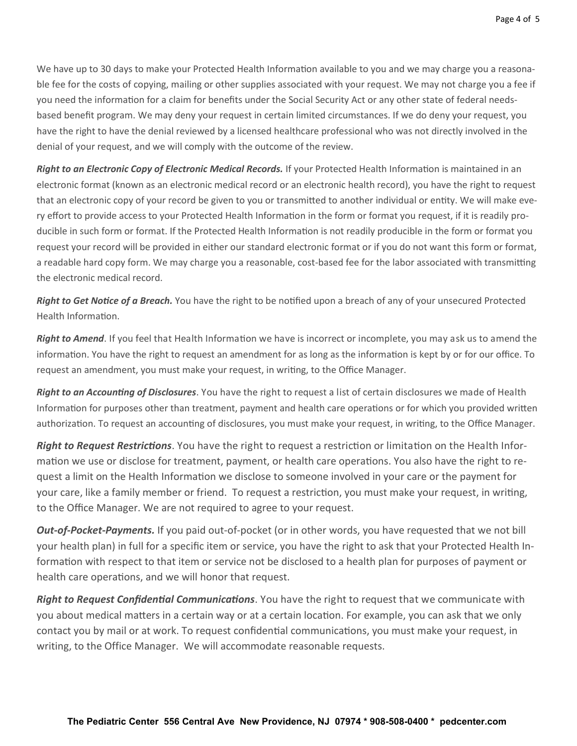We have up to 30 days to make your Protected Health Information available to you and we may charge you a reasonable fee for the costs of copying, mailing or other supplies associated with your request. We may not charge you a fee if you need the information for a claim for benefits under the Social Security Act or any other state of federal needsbased benefit program. We may deny your request in certain limited circumstances. If we do deny your request, you have the right to have the denial reviewed by a licensed healthcare professional who was not directly involved in the denial of your request, and we will comply with the outcome of the review.

*Right to an Electronic Copy of Electronic Medical Records.* If your Protected Health Information is maintained in an electronic format (known as an electronic medical record or an electronic health record), you have the right to request that an electronic copy of your record be given to you or transmitted to another individual or entity. We will make every effort to provide access to your Protected Health Information in the form or format you request, if it is readily producible in such form or format. If the Protected Health Information is not readily producible in the form or format you request your record will be provided in either our standard electronic format or if you do not want this form or format, a readable hard copy form. We may charge you a reasonable, cost-based fee for the labor associated with transmitting the electronic medical record.

*Right to Get Notice of a Breach.* You have the right to be notified upon a breach of any of your unsecured Protected Health Information.

*Right to Amend*. If you feel that Health Information we have is incorrect or incomplete, you may ask us to amend the information. You have the right to request an amendment for as long as the information is kept by or for our office. To request an amendment, you must make your request, in writing, to the Office Manager.

*Right to an Accounting of Disclosures*. You have the right to request a list of certain disclosures we made of Health Information for purposes other than treatment, payment and health care operations or for which you provided written authorization. To request an accounting of disclosures, you must make your request, in writing, to the Office Manager.

*Right to Request Restrictions*. You have the right to request a restriction or limitation on the Health Information we use or disclose for treatment, payment, or health care operations. You also have the right to request a limit on the Health Information we disclose to someone involved in your care or the payment for your care, like a family member or friend. To request a restriction, you must make your request, in writing, to the Office Manager. We are not required to agree to your request.

*Out-of-Pocket-Payments.* If you paid out-of-pocket (or in other words, you have requested that we not bill your health plan) in full for a specific item or service, you have the right to ask that your Protected Health Information with respect to that item or service not be disclosed to a health plan for purposes of payment or health care operations, and we will honor that request.

*Right to Request Confidential Communications*. You have the right to request that we communicate with you about medical matters in a certain way or at a certain location. For example, you can ask that we only contact you by mail or at work. To request confidential communications, you must make your request, in writing, to the Office Manager. We will accommodate reasonable requests.